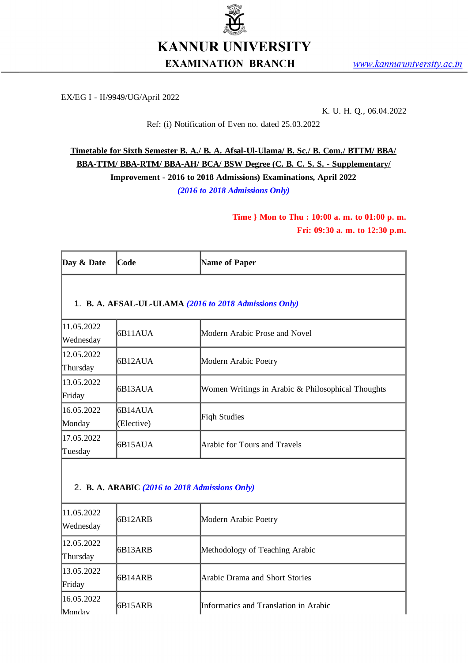

EX/EG I - II/9949/UG/April 2022

K. U. H. Q., 06.04.2022

Ref: (i) Notification of Even no. dated 25.03.2022

**Timetable for Sixth Semester B. A./ B. A. Afsal-Ul-Ulama/ B. Sc./ B. Com./ BTTM/ BBA/ BBA-TTM/ BBA-RTM/ BBA-AH/ BCA/ BSW Degree (C. B. C. S. S. - Supplementary/ Improvement - 2016 to 2018 Admissions) Examinations, April 2022** *(2016 to 2018 Admissions Only)*

> **Time } Mon to Thu : 10:00 a. m. to 01:00 p. m. Fri: 09:30 a. m. to 12:30 p.m.**

| Day & Date              | <b>Code</b>            | Name of Paper                                          |
|-------------------------|------------------------|--------------------------------------------------------|
|                         |                        | 1. B. A. AFSAL-UL-ULAMA (2016 to 2018 Admissions Only) |
| 11.05.2022<br>Wednesday | 6B11AUA                | Modern Arabic Prose and Novel                          |
| 12.05.2022<br>Thursday  | 6B12AUA                | Modern Arabic Poetry                                   |
| 13.05.2022<br>Friday    | 6B13AUA                | Women Writings in Arabic & Philosophical Thoughts      |
| 16.05.2022<br>Monday    | 16B14AUA<br>(Elective) | Fiqh Studies                                           |
| 17.05.2022<br>Tuesday   | 6B15AUA                | Arabic for Tours and Travels                           |

#### 2. **B. A. ARABIC** *(2016 to 2018 Admissions Only)*

| 11.05.2022<br>Wednesday | I6B12ARB | Modern Arabic Poetry                  |
|-------------------------|----------|---------------------------------------|
| 12.05.2022<br>Thursday  | I6B13ARB | Methodology of Teaching Arabic        |
| 13.05.2022<br>Friday    | I6B14ARB | lArabic Drama and Short Stories       |
| 16.05.2022<br>Monday    | I6B15ARB | Informatics and Translation in Arabic |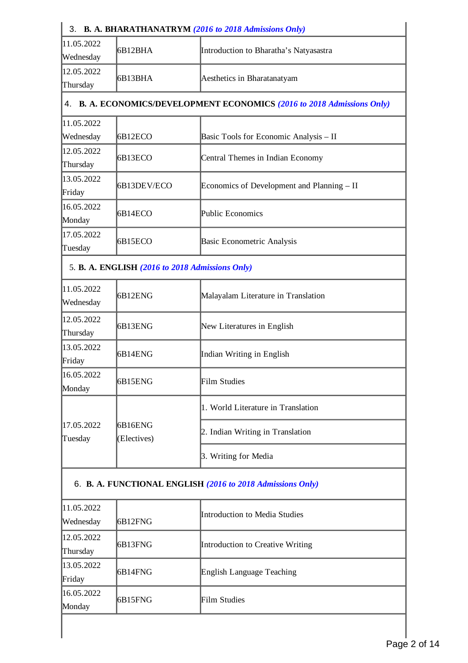| 3. B. A. BHARATHANATRYM (2016 to 2018 Admissions Only)     |                                                                         |  |  |
|------------------------------------------------------------|-------------------------------------------------------------------------|--|--|
| 6B12BHA                                                    | Introduction to Bharatha's Natyasastra                                  |  |  |
| 6B13BHA                                                    | Aesthetics in Bharatanatyam                                             |  |  |
|                                                            | 4. B. A. ECONOMICS/DEVELOPMENT ECONOMICS (2016 to 2018 Admissions Only) |  |  |
| 6B12ECO                                                    | Basic Tools for Economic Analysis - II                                  |  |  |
| 6B13ECO                                                    | Central Themes in Indian Economy                                        |  |  |
| 6B13DEV/ECO                                                | Economics of Development and Planning - II                              |  |  |
| 6B14ECO                                                    | Public Economics                                                        |  |  |
| 6B15ECO                                                    | Basic Econometric Analysis                                              |  |  |
| 5. B. A. ENGLISH (2016 to 2018 Admissions Only)            |                                                                         |  |  |
| 6B12ENG                                                    | Malayalam Literature in Translation                                     |  |  |
| 6B13ENG                                                    | New Literatures in English                                              |  |  |
| 6B14ENG                                                    | Indian Writing in English                                               |  |  |
| 6B15ENG                                                    | Film Studies                                                            |  |  |
|                                                            | 1. World Literature in Translation                                      |  |  |
| 6B16ENG<br>(Electives)                                     | 2. Indian Writing in Translation                                        |  |  |
|                                                            | 3. Writing for Media                                                    |  |  |
| 6. B. A. FUNCTIONAL ENGLISH (2016 to 2018 Admissions Only) |                                                                         |  |  |
| 6B12FNG                                                    | Introduction to Media Studies                                           |  |  |
| 6B13FNG                                                    | Introduction to Creative Writing                                        |  |  |
| 6B14FNG                                                    | English Language Teaching                                               |  |  |
| 6B15FNG                                                    | Film Studies                                                            |  |  |
|                                                            |                                                                         |  |  |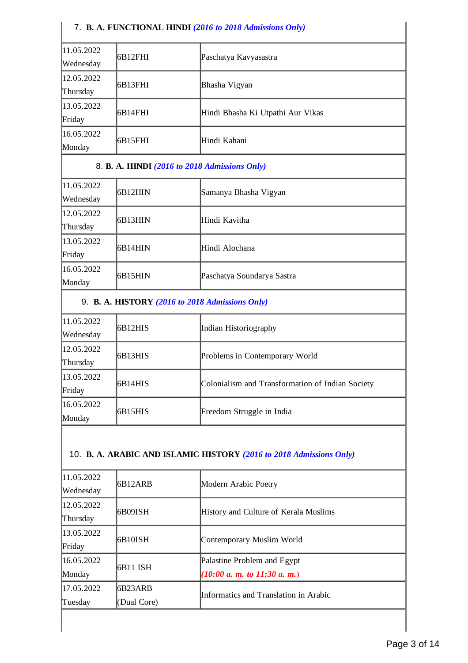#### 7. **B. A. FUNCTIONAL HINDI** *(2016 to 2018 Admissions Only)*

| 11.05.2022 | 6B12FHI | Paschatya Kavyasastra             |
|------------|---------|-----------------------------------|
| Wednesday  |         |                                   |
| 12.05.2022 | 6B13FHI | Bhasha Vigyan                     |
| Thursday   |         |                                   |
| 13.05.2022 |         | Hindi Bhasha Ki Utpathi Aur Vikas |
| Friday     | 6B14FHI |                                   |
| 16.05.2022 | 6B15FHI | Hindi Kahani                      |
| Monday     |         |                                   |

#### 8. **B. A. HINDI** *(2016 to 2018 Admissions Only)*

| 11.05.2022 | 6B12HIN | Samanya Bhasha Vigyan      |
|------------|---------|----------------------------|
| Wednesday  |         |                            |
| 12.05.2022 |         | lHindi Kavitha             |
| Thursday   | 6B13HIN |                            |
| 13.05.2022 | 6B14HIN | Hindi Alochana             |
| Friday     |         |                            |
| 16.05.2022 | 6B15HIN | Paschatya Soundarya Sastra |
| Monday     |         |                            |

#### 9. **B. A. HISTORY** *(2016 to 2018 Admissions Only)*

| 11.05.2022 |         |                                                  |
|------------|---------|--------------------------------------------------|
| Wednesday  | 6B12HIS | Indian Historiography                            |
| 12.05.2022 |         |                                                  |
| Thursday   | 6B13HIS | Problems in Contemporary World                   |
| 13.05.2022 |         | Colonialism and Transformation of Indian Society |
| Friday     | 6B14HIS |                                                  |
| 16.05.2022 |         |                                                  |
| Monday     | 6B15HIS | Freedom Struggle in India                        |

#### 10. **B. A. ARABIC AND ISLAMIC HISTORY** *(2016 to 2018 Admissions Only)*

| 11.05.2022<br> Wednesday      | <b>6B12ARB</b>          | Modern Arabic Poetry                                                           |
|-------------------------------|-------------------------|--------------------------------------------------------------------------------|
| 12.05.2022<br><b>Thursday</b> | I6B09ISH                | History and Culture of Kerala Muslims                                          |
| 13.05.2022<br>Friday          | I6B10ISH                | Contemporary Muslim World                                                      |
| 16.05.2022<br>Monday          | 16B11 ISH               | Palastine Problem and Egypt<br>$(10:00 \text{ a. m. to } 11:30 \text{ a. m.})$ |
| 17.05.2022<br>Tuesday         | 16B23ARB<br>(Dual Core) | Informatics and Translation in Arabic                                          |
|                               |                         |                                                                                |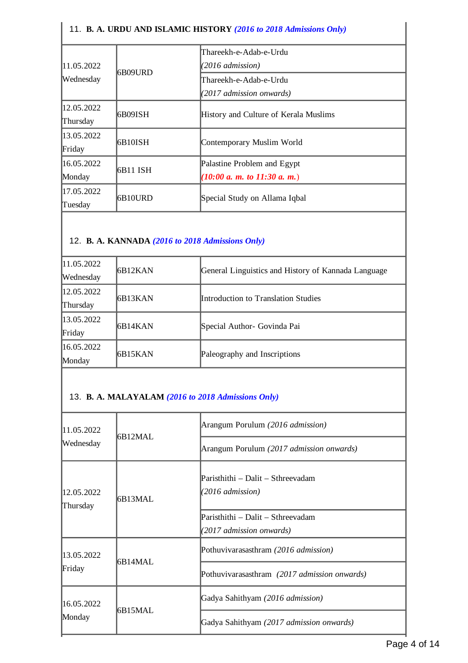| 11. B. A. URDU AND ISLAMIC HISTORY (2016 to 2018 Admissions Only) |                 |                                                 |
|-------------------------------------------------------------------|-----------------|-------------------------------------------------|
|                                                                   |                 | Thareekh-e-Adab-e-Urdu                          |
| 11.05.2022                                                        | <b>I6B09URD</b> | (2016 admission)                                |
| Wednesday                                                         |                 | Thareekh-e-Adab-e-Urdu                          |
|                                                                   |                 | (2017 admission onwards)                        |
| 12.05.2022                                                        | I6B09ISH        | History and Culture of Kerala Muslims           |
| Thursday                                                          |                 |                                                 |
| 13.05.2022                                                        | 6B10ISH         | Contemporary Muslim World                       |
| Friday                                                            |                 |                                                 |
| 16.05.2022                                                        | 6B11 ISH        | Palastine Problem and Egypt                     |
| Monday                                                            |                 | $(10:00 \text{ a. m. to } 11:30 \text{ a. m.})$ |
| 17.05.2022                                                        | 6B10URD         | Special Study on Allama Iqbal                   |
| Tuesday                                                           |                 |                                                 |

### 12. **B. A. KANNADA** *(2016 to 2018 Admissions Only)*

 $\overline{1}$ 

| 11.05.2022 |                 |                                                     |
|------------|-----------------|-----------------------------------------------------|
| Wednesday  | <b>IGB12KAN</b> | General Linguistics and History of Kannada Language |
| 12.05.2022 | <b>IGB13KAN</b> | Introduction to Translation Studies                 |
| Thursday   |                 |                                                     |
| 13.05.2022 | <b>IGB14KAN</b> | Special Author- Govinda Pai                         |
| Friday     |                 |                                                     |
| 16.05.2022 | 6B15KAN         | Paleography and Inscriptions                        |
| Monday     |                 |                                                     |

# 13. **B. A. MALAYALAM** *(2016 to 2018 Admissions Only)*

| 11.05.2022<br>Wednesday | I6B12MAL | Arangum Porulum (2016 admission)                              |
|-------------------------|----------|---------------------------------------------------------------|
|                         |          | Arangum Porulum (2017 admission onwards)                      |
| 12.05.2022<br>Thursday  | I6B13MAL | Paristhithi – Dalit – Sthreevadam<br>(2016 admission)         |
|                         |          | Paristhithi – Dalit – Sthreevadam<br>(2017 admission onwards) |
| 13.05.2022<br>Friday    | I6B14MAL | Pothuvivarasasthram (2016 admission)                          |
|                         |          | Pothuvivarasasthram (2017 admission onwards)                  |
| 16.05.2022<br>Monday    | I6B15MAL | Gadya Sahithyam (2016 admission)                              |
|                         |          | Gadya Sahithyam (2017 admission onwards)                      |

 $\mathbf{I}$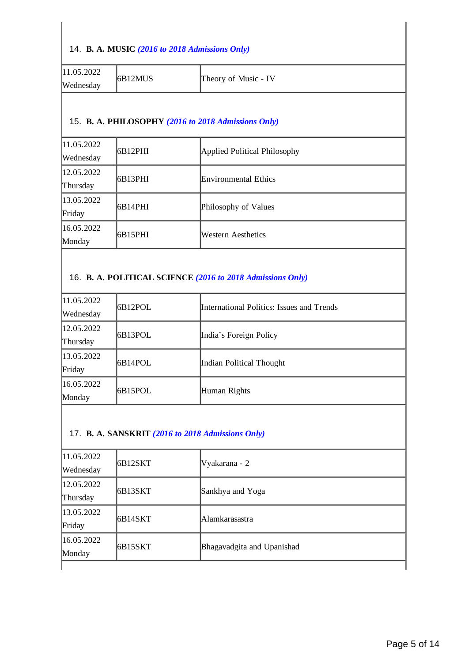#### 14. **B. A. MUSIC** *(2016 to 2018 Admissions Only)*

| 11.05.2022 | <b>IGB12MUS</b> | Theory of Music - IV |
|------------|-----------------|----------------------|
| Wednesday  |                 |                      |

#### 15. **B. A. PHILOSOPHY** *(2016 to 2018 Admissions Only)*

| 11.05.2022<br>Wednesday | <b>IGB12PHI</b> | Applied Political Philosophy |
|-------------------------|-----------------|------------------------------|
| 12.05.2022              | 6B13PHI         | <b>Environmental Ethics</b>  |
| Thursday                |                 |                              |
| 13.05.2022              |                 |                              |
| Friday                  | 6B14PHI         | Philosophy of Values         |
| 16.05.2022              |                 |                              |
| Monday                  | 6B15PHI         | Western Aesthetics           |
|                         |                 |                              |

### 16. **B. A. POLITICAL SCIENCE** *(2016 to 2018 Admissions Only)*

| 11.05.2022 | 6B12POL | International Politics: Issues and Trends |
|------------|---------|-------------------------------------------|
| Wednesday  |         |                                           |
| 12.05.2022 |         |                                           |
| Thursday   | 6B13POL | India's Foreign Policy                    |
| 13.05.2022 |         |                                           |
| Friday     | 6B14POL | Indian Political Thought                  |
| 16.05.2022 |         |                                           |
| Monday     | 6B15POL | Human Rights                              |

#### 17. **B. A. SANSKRIT** *(2016 to 2018 Admissions Only)*

| 11.05.2022<br><b>Wednesday</b> | 6B12SKT | Vyakarana - 2              |
|--------------------------------|---------|----------------------------|
| 12.05.2022<br>Thursday         | 6B13SKT | Sankhya and Yoga           |
|                                |         |                            |
| 13.05.2022                     | 6B14SKT | lA lamkarasastra           |
| Friday                         |         |                            |
| 16.05.2022                     | 6B15SKT | Bhagavadgita and Upanishad |
| Monday                         |         |                            |
|                                |         |                            |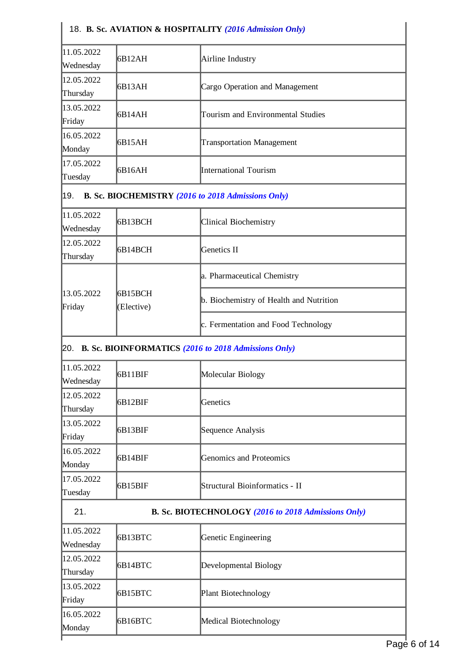|                         |                       | 18. B. Sc. AVIATION & HOSPITALITY (2016 Admission Only)   |
|-------------------------|-----------------------|-----------------------------------------------------------|
| 11.05.2022<br>Wednesday | 6B12AH                | Airline Industry                                          |
| 12.05.2022<br>Thursday  | 6B13AH                | <b>Cargo Operation and Management</b>                     |
| 13.05.2022<br>Friday    | 6B14AH                | Tourism and Environmental Studies                         |
| 16.05.2022<br>Monday    | 6B15AH                | <b>Transportation Management</b>                          |
| 17.05.2022<br>Tuesday   | 6B16AH                | International Tourism                                     |
| 19.                     |                       | B. Sc. BIOCHEMISTRY (2016 to 2018 Admissions Only)        |
| 11.05.2022<br>Wednesday | 6B13BCH               | Clinical Biochemistry                                     |
| 12.05.2022<br>Thursday  | 6B14BCH               | <b>Genetics II</b>                                        |
|                         |                       | a. Pharmaceutical Chemistry                               |
| 13.05.2022<br>Friday    | 6B15BCH<br>(Elective) | b. Biochemistry of Health and Nutrition                   |
|                         |                       | c. Fermentation and Food Technology                       |
|                         |                       | [20. B. Sc. BIOINFORMATICS (2016 to 2018 Admissions Only) |
| 11.05.2022<br>Wednesday | 6B11BIF               | Molecular Biology                                         |
| 12.05.2022<br>Thursday  | 6B12BIF               | Genetics                                                  |
| 13.05.2022<br>Friday    | 6B13BIF               | Sequence Analysis                                         |
| 16.05.2022<br>Monday    | 6B14BIF               | <b>Genomics and Proteomics</b>                            |
| 17.05.2022<br>Tuesday   | 6B15BIF               | Structural Bioinformatics - II                            |
| 21.                     |                       | B. Sc. BIOTECHNOLOGY (2016 to 2018 Admissions Only)       |
| 11.05.2022<br>Wednesday | 6B13BTC               | Genetic Engineering                                       |
| 12.05.2022<br>Thursday  | 6B14BTC               | Developmental Biology                                     |
| 13.05.2022<br>Friday    | 6B15BTC               | Plant Biotechnology                                       |
| 16.05.2022<br>Monday    | 6B16BTC               | Medical Biotechnology                                     |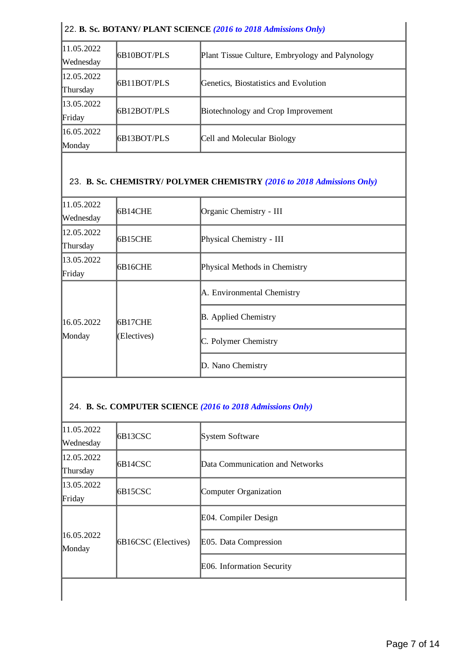| 22. B. Sc. BOTANY/ PLANT SCIENCE (2016 to 2018 Admissions Only) |                    |                                                 |
|-----------------------------------------------------------------|--------------------|-------------------------------------------------|
| 11.05.2022<br>Wednesday                                         | <b>6B10BOT/PLS</b> | Plant Tissue Culture, Embryology and Palynology |
| 12.05.2022<br>Thursday                                          | 6B11BOT/PLS        | Genetics, Biostatistics and Evolution           |
| 13.05.2022<br>Friday                                            | 6B12BOT/PLS        | Biotechnology and Crop Improvement              |
| 16.05.2022<br>Monday                                            | 6B13BOT/PLS        | Cell and Molecular Biology                      |

# 23. **B. Sc. CHEMISTRY/ POLYMER CHEMISTRY** *(2016 to 2018 Admissions Only)*

| 11.05.2022<br>Wednesday | 6B14CHE                | Organic Chemistry - III       |
|-------------------------|------------------------|-------------------------------|
| 12.05.2022<br>Thursday  | 6B15CHE                | Physical Chemistry - III      |
| 13.05.2022<br>Friday    | 6B16CHE                | Physical Methods in Chemistry |
| 16.05.2022<br>Monday    | 6B17CHE<br>(Electives) | A. Environmental Chemistry    |
|                         |                        | <b>B.</b> Applied Chemistry   |
|                         |                        | C. Polymer Chemistry          |
|                         |                        | D. Nano Chemistry             |

# 24. **B. Sc. COMPUTER SCIENCE** *(2016 to 2018 Admissions Only)*

| 11.05.2022<br>Wednesday | 6B13CSC             | System Software                 |
|-------------------------|---------------------|---------------------------------|
| 12.05.2022<br>Thursday  | 6B14CSC             | Data Communication and Networks |
| 13.05.2022<br>Friday    | 6B15CSC             | Computer Organization           |
| 16.05.2022<br>Monday    | 6B16CSC (Electives) | E04. Compiler Design            |
|                         |                     | E05. Data Compression           |
|                         |                     | E06. Information Security       |
|                         |                     |                                 |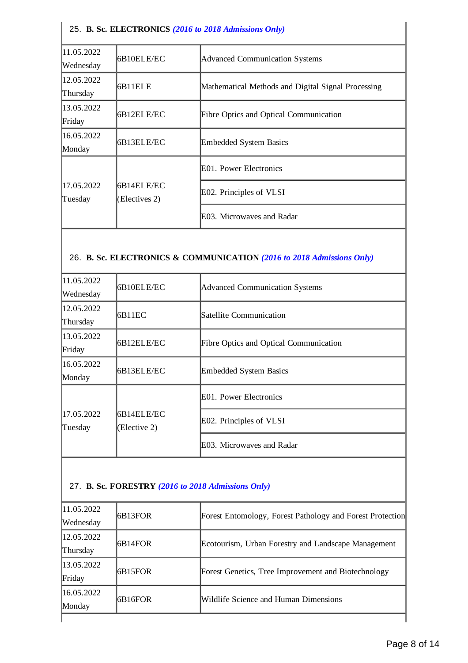### 25. **B. Sc. ELECTRONICS** *(2016 to 2018 Admissions Only)*

| 11.05.2022<br> Wednesday | 6B10ELE/EC                  | <b>Advanced Communication Systems</b>              |
|--------------------------|-----------------------------|----------------------------------------------------|
| 12.05.2022<br>Thursday   | 6B11ELE                     | Mathematical Methods and Digital Signal Processing |
| 13.05.2022<br>Friday     | 6B12ELE/EC                  | <b>Fibre Optics and Optical Communication</b>      |
| 16.05.2022<br>Monday     | 6B13ELE/EC                  | <b>Embedded System Basics</b>                      |
|                          |                             | E01. Power Electronics                             |
| 17.05.2022<br>Tuesday    | 6B14ELE/EC<br>(Electives 2) | E02. Principles of VLSI                            |
|                          |                             | E03. Microwaves and Radar                          |

#### 26. **B. Sc. ELECTRONICS & COMMUNICATION** *(2016 to 2018 Admissions Only)*

| 11.05.2022<br>Wednesday | 6B10ELE/EC                 | Advanced Communication Systems                |
|-------------------------|----------------------------|-----------------------------------------------|
| 12.05.2022<br>Thursday  | IB11EC                     | Satellite Communication                       |
| 13.05.2022<br>Friday    | 6B12ELE/EC                 | <b>Fibre Optics and Optical Communication</b> |
| 16.05.2022<br>Monday    | 6B13ELE/EC                 | <b>Embedded System Basics</b>                 |
|                         |                            | E01. Power Electronics                        |
| 17.05.2022<br>Tuesday   | 6B14ELE/EC<br>(Elective 2) | E02. Principles of VLSI                       |
|                         |                            | E03. Microwaves and Radar                     |

#### 27. **B. Sc. FORESTRY** *(2016 to 2018 Admissions Only)*

| 11.05.2022 | <b>IGB13FOR</b> | Forest Entomology, Forest Pathology and Forest Protection |
|------------|-----------------|-----------------------------------------------------------|
| Wednesday  |                 |                                                           |
| 12.05.2022 |                 |                                                           |
| Thursday   | <b>IGB14FOR</b> | Ecotourism, Urban Forestry and Landscape Management       |
| 13.05.2022 | 6B15FOR         | Forest Genetics, Tree Improvement and Biotechnology       |
| Friday     |                 |                                                           |
| 16.05.2022 | <b>IGB16FOR</b> | Wildlife Science and Human Dimensions                     |
| Monday     |                 |                                                           |
|            |                 |                                                           |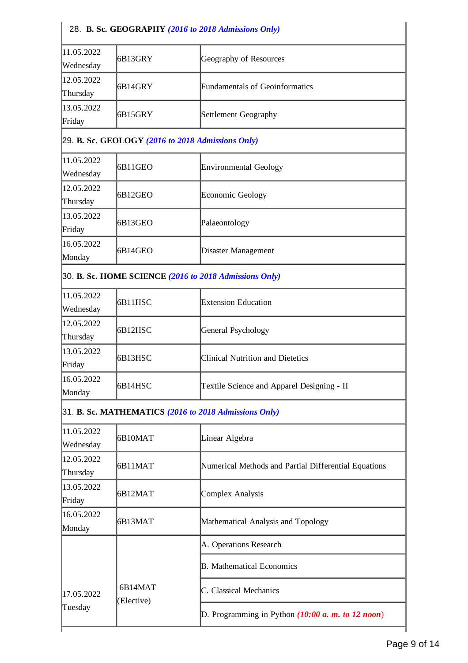| 28. B. Sc. GEOGRAPHY (2016 to 2018 Admissions Only) |                       |                                                        |
|-----------------------------------------------------|-----------------------|--------------------------------------------------------|
| 11.05.2022<br>Wednesday                             | 6B13GRY               | Geography of Resources                                 |
| 12.05.2022<br>Thursday                              | 6B14GRY               | <b>Fundamentals of Geoinformatics</b>                  |
| 13.05.2022<br>Friday                                | 6B15GRY               | Settlement Geography                                   |
|                                                     |                       | 29. B. Sc. GEOLOGY (2016 to 2018 Admissions Only)      |
| 11.05.2022<br>Wednesday                             | 6B11GEO               | Environmental Geology                                  |
| 12.05.2022<br>Thursday                              | 6B12GEO               | Economic Geology                                       |
| 13.05.2022<br>Friday                                | 6B13GEO               | Palaeontology                                          |
| 16.05.2022<br>Monday                                | 6B14GEO               | Disaster Management                                    |
|                                                     |                       | 30. B. Sc. HOME SCIENCE (2016 to 2018 Admissions Only) |
| 11.05.2022<br>Wednesday                             | 6B11HSC               | <b>Extension Education</b>                             |
| 12.05.2022<br>Thursday                              | 6B12HSC               | General Psychology                                     |
| 13.05.2022<br>Friday                                | 6B13HSC               | <b>Clinical Nutrition and Dietetics</b>                |
| 16.05.2022<br>Monday                                | 6B14HSC               | Textile Science and Apparel Designing - II             |
|                                                     |                       | 31. B. Sc. MATHEMATICS (2016 to 2018 Admissions Only)  |
| 11.05.2022<br>Wednesday                             | 6B10MAT               | Linear Algebra                                         |
| 12.05.2022<br>Thursday                              | 6B11MAT               | Numerical Methods and Partial Differential Equations   |
| 13.05.2022<br>Friday                                | 6B12MAT               | <b>Complex Analysis</b>                                |
| 16.05.2022<br>Monday                                | 6B13MAT               | Mathematical Analysis and Topology                     |
|                                                     |                       | A. Operations Research                                 |
|                                                     |                       | <b>B.</b> Mathematical Economics                       |
| 17.05.2022                                          | 6B14MAT<br>(Elective) | C. Classical Mechanics                                 |
| Tuesday                                             |                       | D. Programming in Python $(10:00 a. m. to 12 noon)$    |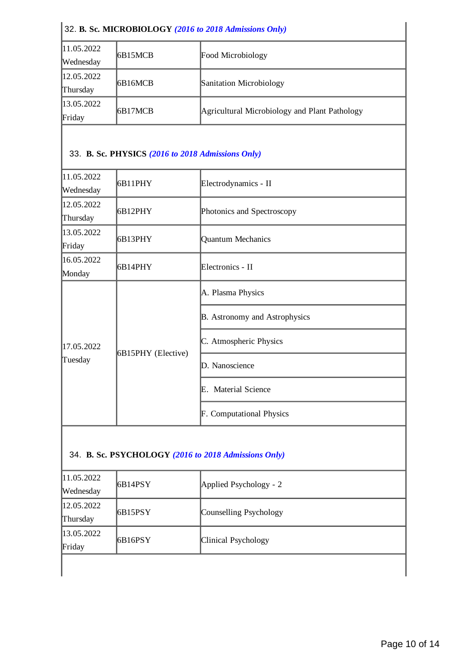| 32. B. Sc. MICROBIOLOGY (2016 to 2018 Admissions Only) |          |                                               |
|--------------------------------------------------------|----------|-----------------------------------------------|
| 11.05.2022                                             | 6B15MCB  | <b>Food Microbiology</b>                      |
| Wednesday                                              |          |                                               |
| 12.05.2022                                             | I6B16MCB | Sanitation Microbiology                       |
| Thursday                                               |          |                                               |
| 13.05.2022                                             |          |                                               |
| Friday                                                 | I6B17MCB | Agricultural Microbiology and Plant Pathology |

### 33. **B. Sc. PHYSICS** *(2016 to 2018 Admissions Only)*

| 6B11PHY            | Electrodynamics - II                 |
|--------------------|--------------------------------------|
| 6B12PHY            | Photonics and Spectroscopy           |
| 6B13PHY            | <b>Quantum Mechanics</b>             |
| 6B14PHY            | Electronics - II                     |
| 6B15PHY (Elective) | A. Plasma Physics                    |
|                    | <b>B.</b> Astronomy and Astrophysics |
|                    | C. Atmospheric Physics               |
|                    | D. Nanoscience                       |
|                    | E. Material Science                  |
|                    | <b>F.</b> Computational Physics      |
|                    |                                      |

# 34. **B. Sc. PSYCHOLOGY** *(2016 to 2018 Admissions Only)*

| 11.05.2022 <br><b>Wednesday</b> | 6B14PSY | Applied Psychology - 2 |
|---------------------------------|---------|------------------------|
| 12.05.2022 <br>Thursday         | 6B15PSY | Counselling Psychology |
| 13.05.2022<br>Friday            | 6B16PSY | Clinical Psychology    |
|                                 |         |                        |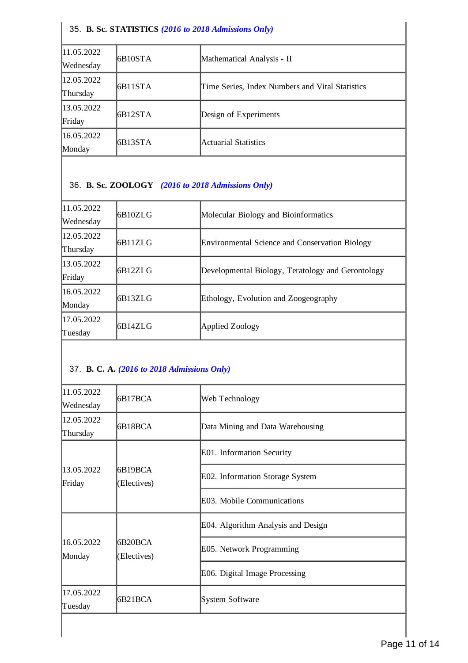#### 35. **B. Sc. STATISTICS** *(2016 to 2018 Admissions Only)*

| 11.05.2022 | 6B <sub>10</sub> STA |                                                 |
|------------|----------------------|-------------------------------------------------|
| Wednesday  |                      | Mathematical Analysis - II                      |
| 12.05.2022 | 6B11STA              | Time Series, Index Numbers and Vital Statistics |
| Thursday   |                      |                                                 |
| 13.05.2022 |                      |                                                 |
| Friday     | 6B12STA              | Design of Experiments                           |
| 16.05.2022 |                      |                                                 |
| Monday     | 6B13STA              | Actuarial Statistics                            |

## 36. **B. Sc. ZOOLOGY** *(2016 to 2018 Admissions Only)*

| 11.05.2022<br>Wednesday | IB10ZLG | Molecular Biology and Bioinformatics              |
|-------------------------|---------|---------------------------------------------------|
| 12.05.2022<br>Thursday  | 6B11ZLG | Environmental Science and Conservation Biology    |
| 13.05.2022<br>Friday    | IB12ZLG | Developmental Biology, Teratology and Gerontology |
| 16.05.2022<br>Monday    | 6B13ZLG | Ethology, Evolution and Zoogeography              |
| 17.05.2022<br> Tuesday  | IB14ZLG | Applied Zoology                                   |

# 37. **B. C. A.** *(2016 to 2018 Admissions Only)*

| 11.05.2022<br>Wednesday | 6B17BCA                | Web Technology                     |
|-------------------------|------------------------|------------------------------------|
| 12.05.2022<br>Thursday  | 6B18BCA                | Data Mining and Data Warehousing   |
|                         |                        | E01. Information Security          |
| 13.05.2022<br>Friday    | 6B19BCA<br>(Electives) | E02. Information Storage System    |
|                         |                        | E03. Mobile Communications         |
|                         |                        | E04. Algorithm Analysis and Design |
| 16.05.2022<br>Monday    | 6B20BCA<br>(Electives) | E05. Network Programming           |
|                         |                        | E06. Digital Image Processing      |
| 17.05.2022<br>Tuesday   | 6B21BCA                | System Software                    |
|                         |                        |                                    |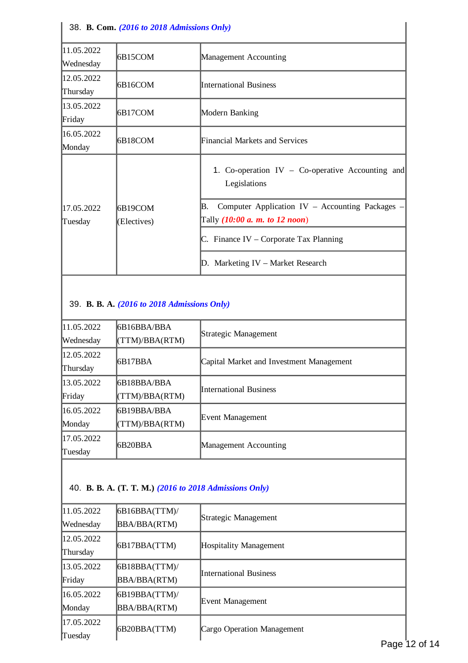| 38. B. Com. (2016 to 2018 Admissions Only) |                         |                                                                                                 |
|--------------------------------------------|-------------------------|-------------------------------------------------------------------------------------------------|
| 11.05.2022<br>Wednesday                    | 6B15COM                 | Management Accounting                                                                           |
| 12.05.2022<br>Thursday                     | 6B16COM                 | <b>International Business</b>                                                                   |
| 13.05.2022<br>Friday                       | 16B17COM                | Modern Banking                                                                                  |
| 16.05.2022<br>Monday                       | I6B18COM                | Financial Markets and Services                                                                  |
|                                            |                         | 1. Co-operation $IV - Co-operative$ Accounting and<br>Legislations                              |
| 17.05.2022<br>Tuesday                      | I6B19COM<br>(Electives) | Computer Application IV $-$ Accounting Packages $\cdot$<br>B.<br>Tally (10:00 a. m. to 12 noon) |
|                                            |                         | C. Finance IV – Corporate Tax Planning                                                          |
|                                            |                         | Marketing IV - Market Research<br>D.                                                            |

#### 39. **B. B. A.** *(2016 to 2018 Admissions Only)*

| 11.05.2022 | I6B16BBA/BBA    | Strategic Management                     |
|------------|-----------------|------------------------------------------|
| Wednesday  | (TTM)/BBA(RTM)  |                                          |
| 12.05.2022 | 6B17BBA         | Capital Market and Investment Management |
| Thursday   |                 |                                          |
| 13.05.2022 | I6B18BBA/BBA    | International Business                   |
| Friday     | TTM)/BBA(RTM)   |                                          |
| 16.05.2022 | 6B19BBA/BBA     |                                          |
| Monday     | TTM)/BBA(RTM)   | Event Management                         |
| 17.05.2022 | <b>IGB20BBA</b> |                                          |
| Tuesday    |                 | Management Accounting                    |
|            |                 |                                          |

# 40. **B. B. A. (T. T. M.)** *(2016 to 2018 Admissions Only)*

| 11.05.2022 | 6B16BBA(TTM)        |                                           |
|------------|---------------------|-------------------------------------------|
| Wednesday  | <b>BBA/BBA(RTM)</b> | Strategic Management                      |
| 12.05.2022 |                     |                                           |
| Thursday   | 6B17BBA(TTM)        | Hospitality Management                    |
| 13.05.2022 | 6B18BBA(TTM)        | International Business                    |
| Friday     | <b>BBA/BBA(RTM)</b> |                                           |
| 16.05.2022 | 6B19BBA(TTM)/       |                                           |
| Monday     | <b>BBA/BBA(RTM)</b> | Event Management                          |
| 17.05.2022 |                     |                                           |
| Tuesday    | 6B20BBA(TTM)        | Cargo Operation Management<br><b>Dese</b> |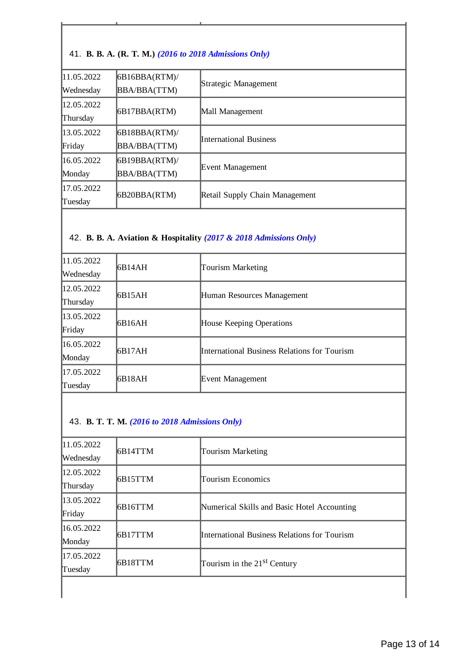#### 41. **B. B. A. (R. T. M.)** *(2016 to 2018 Admissions Only)*

| 11.05.2022 | 6B16BBA(RTM)/       |                                |
|------------|---------------------|--------------------------------|
| Wednesday  | BBA/BBA(TTM)        | Strategic Management           |
| 12.05.2022 |                     |                                |
| Thursday   | 6B17BBA(RTM)        | Mall Management                |
| 13.05.2022 | 6B18BBA(RTM)/       | International Business         |
| Friday     | <b>BBA/BBA(TTM)</b> |                                |
| 16.05.2022 | 6B19BBA(RTM)/       |                                |
| Monday     | BBA/BBA(TTM)        | Event Management               |
| 17.05.2022 |                     |                                |
| Tuesday    | 6B20BBA(RTM)        | Retail Supply Chain Management |

### 42. **B. B. A. Aviation & Hospitality** *(2017 & 2018 Admissions Only)*

| 11.05.2022 | IB14AH | Tourism Marketing                            |
|------------|--------|----------------------------------------------|
| Wednesday  |        |                                              |
| 12.05.2022 | 6B15AH |                                              |
| Thursday   |        | Human Resources Management                   |
| 13.05.2022 |        |                                              |
| Friday     | 6B16AH | <b>House Keeping Operations</b>              |
| 16.05.2022 | IB17AH | International Business Relations for Tourism |
| Monday     |        |                                              |
| 17.05.2022 | 6B18AH | Event Management                             |
| Tuesday    |        |                                              |

### 43. **B. T. T. M.** *(2016 to 2018 Admissions Only)*

| 11.05.2022<br>Wednesday | 6B14TTM         | <b>Tourism Marketing</b>                     |
|-------------------------|-----------------|----------------------------------------------|
|                         |                 |                                              |
| 12.05.2022              | <b>IGB15TTM</b> | Tourism Economics                            |
| Thursday                |                 |                                              |
| 13.05.2022              |                 | Numerical Skills and Basic Hotel Accounting  |
| Friday                  | 6B16TTM         |                                              |
| 16.05.2022              |                 | International Business Relations for Tourism |
| Monday                  | 6B17TTM         |                                              |
| 17.05.2022              | 6B18TTM         | Tourism in the 21 <sup>st</sup> Century      |
| Tuesday                 |                 |                                              |
|                         |                 |                                              |
|                         |                 |                                              |